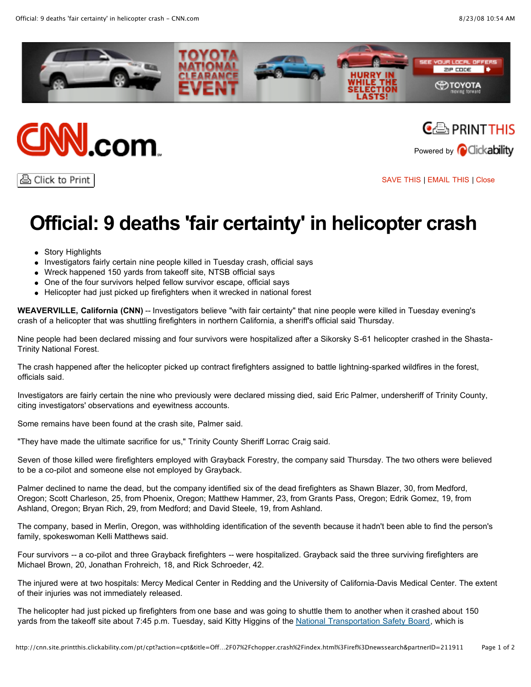





ਣੀ Click to Print

[SAVE](javascript:void(open() THIS | [EMAIL](javascript:void(open() THIS | [Close](javascript:self.close();)

## **Official: 9 deaths 'fair certainty' in helicopter crash**

- Story Highlights
- Investigators fairly certain nine people killed in Tuesday crash, official says
- Wreck happened 150 yards from takeoff site, NTSB official says
- One of the four survivors helped fellow survivor escape, official says
- Helicopter had just picked up firefighters when it wrecked in national forest

**WEAVERVILLE, California (CNN)** -- Investigators believe "with fair certainty" that nine people were killed in Tuesday evening's crash of a helicopter that was shuttling firefighters in northern California, a sheriff's official said Thursday.

Nine people had been declared missing and four survivors were hospitalized after a Sikorsky S-61 helicopter crashed in the Shasta-Trinity National Forest.

The crash happened after the helicopter picked up contract firefighters assigned to battle lightning-sparked wildfires in the forest, officials said.

Investigators are fairly certain the nine who previously were declared missing died, said Eric Palmer, undersheriff of Trinity County, citing investigators' observations and eyewitness accounts.

Some remains have been found at the crash site, Palmer said.

"They have made the ultimate sacrifice for us," Trinity County Sheriff Lorrac Craig said.

Seven of those killed were firefighters employed with Grayback Forestry, the company said Thursday. The two others were believed to be a co-pilot and someone else not employed by Grayback.

Palmer declined to name the dead, but the company identified six of the dead firefighters as Shawn Blazer, 30, from Medford, Oregon; Scott Charleson, 25, from Phoenix, Oregon; Matthew Hammer, 23, from Grants Pass, Oregon; Edrik Gomez, 19, from Ashland, Oregon; Bryan Rich, 29, from Medford; and David Steele, 19, from Ashland.

The company, based in Merlin, Oregon, was withholding identification of the seventh because it hadn't been able to find the person's family, spokeswoman Kelli Matthews said.

Four survivors -- a co-pilot and three Grayback firefighters -- were hospitalized. Grayback said the three surviving firefighters are Michael Brown, 20, Jonathan Frohreich, 18, and Rick Schroeder, 42.

The injured were at two hospitals: Mercy Medical Center in Redding and the University of California-Davis Medical Center. The extent of their injuries was not immediately released.

The helicopter had just picked up firefighters from one base and was going to shuttle them to another when it crashed about 150 yards from the takeoff site about 7:45 p.m. Tuesday, said Kitty Higgins of the National [Transportation](http://topics.cnn.com/topics/U_S_National_Transportation_Safety_Board) Safety Board, which is